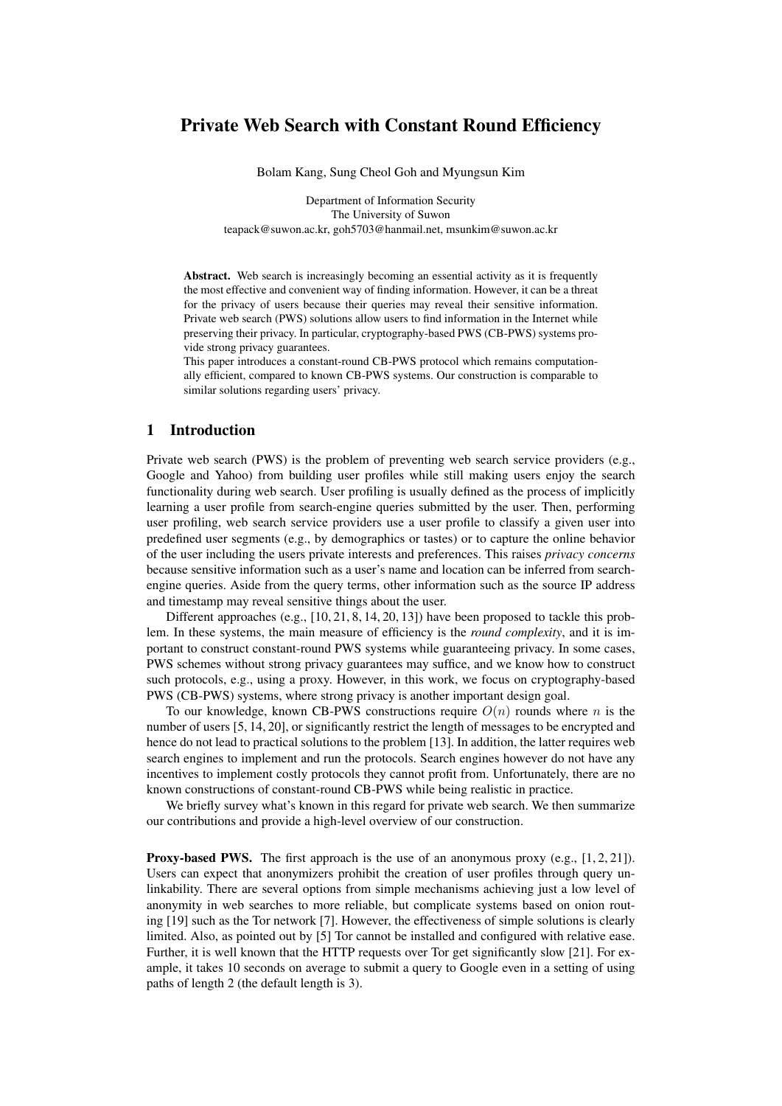# Private Web Search with Constant Round Efficiency

Bolam Kang, Sung Cheol Goh and Myungsun Kim

Department of Information Security The University of Suwon teapack@suwon.ac.kr, goh5703@hanmail.net, msunkim@suwon.ac.kr

Abstract. Web search is increasingly becoming an essential activity as it is frequently the most effective and convenient way of finding information. However, it can be a threat for the privacy of users because their queries may reveal their sensitive information. Private web search (PWS) solutions allow users to find information in the Internet while preserving their privacy. In particular, cryptography-based PWS (CB-PWS) systems provide strong privacy guarantees.

This paper introduces a constant-round CB-PWS protocol which remains computationally efficient, compared to known CB-PWS systems. Our construction is comparable to similar solutions regarding users' privacy.

## 1 Introduction

Private web search (PWS) is the problem of preventing web search service providers (e.g., Google and Yahoo) from building user profiles while still making users enjoy the search functionality during web search. User profiling is usually defined as the process of implicitly learning a user profile from search-engine queries submitted by the user. Then, performing user profiling, web search service providers use a user profile to classify a given user into predefined user segments (e.g., by demographics or tastes) or to capture the online behavior of the user including the users private interests and preferences. This raises *privacy concerns* because sensitive information such as a user's name and location can be inferred from searchengine queries. Aside from the query terms, other information such as the source IP address and timestamp may reveal sensitive things about the user.

Different approaches  $(e.g., [10, 21, 8, 14, 20, 13])$  have been proposed to tackle this problem. In these systems, the main measure of efficiency is the *round complexity*, and it is important to construct constant-round PWS systems while guaranteeing privacy. In some cases, PWS schemes without strong privacy guarantees may suffice, and we know how to construct such protocols, e.g., using a proxy. However, in this work, we focus on cryptography-based PWS (CB-PWS) systems, where strong privacy is another important design goal.

To our knowledge, known CB-PWS constructions require  $O(n)$  rounds where n is the number of users [5, 14, 20], or significantly restrict the length of messages to be encrypted and hence do not lead to practical solutions to the problem [13]. In addition, the latter requires web search engines to implement and run the protocols. Search engines however do not have any incentives to implement costly protocols they cannot profit from. Unfortunately, there are no known constructions of constant-round CB-PWS while being realistic in practice.

We briefly survey what's known in this regard for private web search. We then summarize our contributions and provide a high-level overview of our construction.

**Proxy-based PWS.** The first approach is the use of an anonymous proxy (e.g.,  $[1, 2, 21]$ ). Users can expect that anonymizers prohibit the creation of user profiles through query unlinkability. There are several options from simple mechanisms achieving just a low level of anonymity in web searches to more reliable, but complicate systems based on onion routing [19] such as the Tor network [7]. However, the effectiveness of simple solutions is clearly limited. Also, as pointed out by [5] Tor cannot be installed and configured with relative ease. Further, it is well known that the HTTP requests over Tor get significantly slow [21]. For example, it takes 10 seconds on average to submit a query to Google even in a setting of using paths of length 2 (the default length is 3).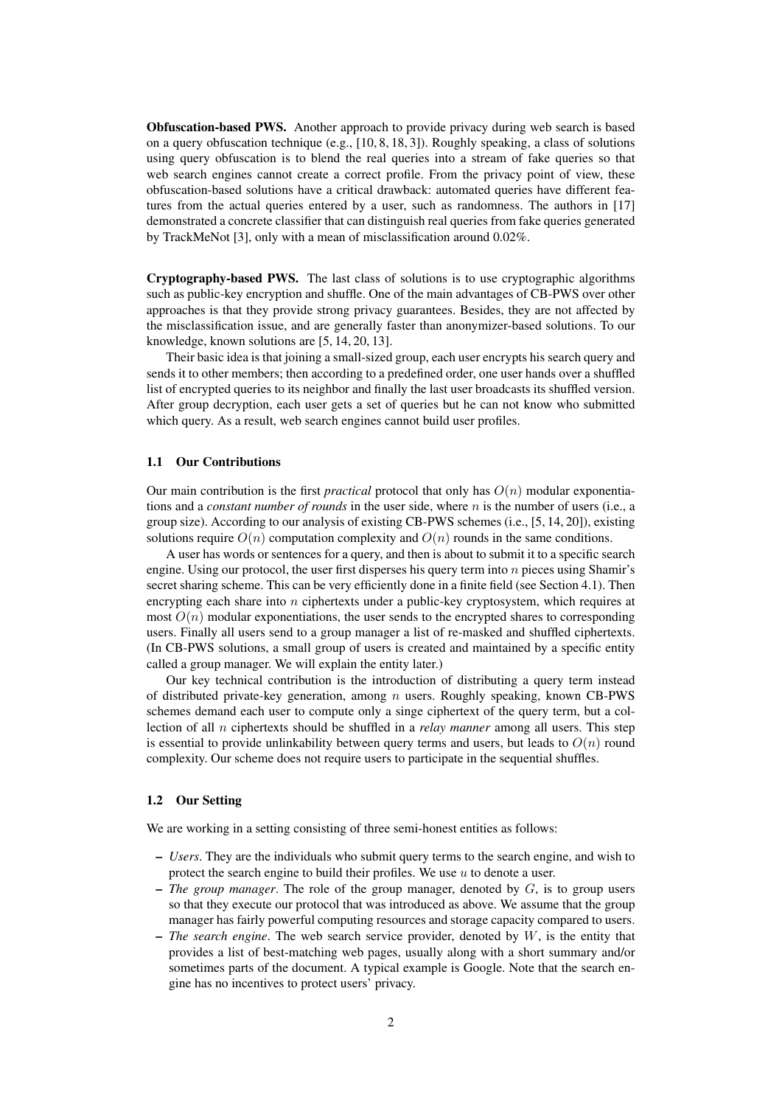Obfuscation-based PWS. Another approach to provide privacy during web search is based on a query obfuscation technique (e.g.,  $[10, 8, 18, 3]$ ). Roughly speaking, a class of solutions using query obfuscation is to blend the real queries into a stream of fake queries so that web search engines cannot create a correct profile. From the privacy point of view, these obfuscation-based solutions have a critical drawback: automated queries have different features from the actual queries entered by a user, such as randomness. The authors in [17] demonstrated a concrete classifier that can distinguish real queries from fake queries generated by TrackMeNot [3], only with a mean of misclassification around 0.02%.

Cryptography-based PWS. The last class of solutions is to use cryptographic algorithms such as public-key encryption and shuffle. One of the main advantages of CB-PWS over other approaches is that they provide strong privacy guarantees. Besides, they are not affected by the misclassification issue, and are generally faster than anonymizer-based solutions. To our knowledge, known solutions are [5, 14, 20, 13].

Their basic idea is that joining a small-sized group, each user encrypts his search query and sends it to other members; then according to a predefined order, one user hands over a shuffled list of encrypted queries to its neighbor and finally the last user broadcasts its shuffled version. After group decryption, each user gets a set of queries but he can not know who submitted which query. As a result, web search engines cannot build user profiles.

#### 1.1 Our Contributions

Our main contribution is the first *practical* protocol that only has  $O(n)$  modular exponentiations and a *constant number of rounds* in the user side, where n is the number of users (i.e., a group size). According to our analysis of existing CB-PWS schemes (i.e., [5, 14, 20]), existing solutions require  $O(n)$  computation complexity and  $O(n)$  rounds in the same conditions.

A user has words or sentences for a query, and then is about to submit it to a specific search engine. Using our protocol, the user first disperses his query term into  $n$  pieces using Shamir's secret sharing scheme. This can be very efficiently done in a finite field (see Section 4.1). Then encrypting each share into n ciphertexts under a public-key cryptosystem, which requires at most  $O(n)$  modular exponentiations, the user sends to the encrypted shares to corresponding users. Finally all users send to a group manager a list of re-masked and shuffled ciphertexts. (In CB-PWS solutions, a small group of users is created and maintained by a specific entity called a group manager. We will explain the entity later.)

Our key technical contribution is the introduction of distributing a query term instead of distributed private-key generation, among  $n$  users. Roughly speaking, known CB-PWS schemes demand each user to compute only a singe ciphertext of the query term, but a collection of all n ciphertexts should be shuffled in a *relay manner* among all users. This step is essential to provide unlinkability between query terms and users, but leads to  $O(n)$  round complexity. Our scheme does not require users to participate in the sequential shuffles.

#### 1.2 Our Setting

We are working in a setting consisting of three semi-honest entities as follows:

- *Users*. They are the individuals who submit query terms to the search engine, and wish to protect the search engine to build their profiles. We use  $u$  to denote a user.
- *The group manager*. The role of the group manager, denoted by G, is to group users so that they execute our protocol that was introduced as above. We assume that the group manager has fairly powerful computing resources and storage capacity compared to users.
- *The search engine*. The web search service provider, denoted by W, is the entity that provides a list of best-matching web pages, usually along with a short summary and/or sometimes parts of the document. A typical example is Google. Note that the search engine has no incentives to protect users' privacy.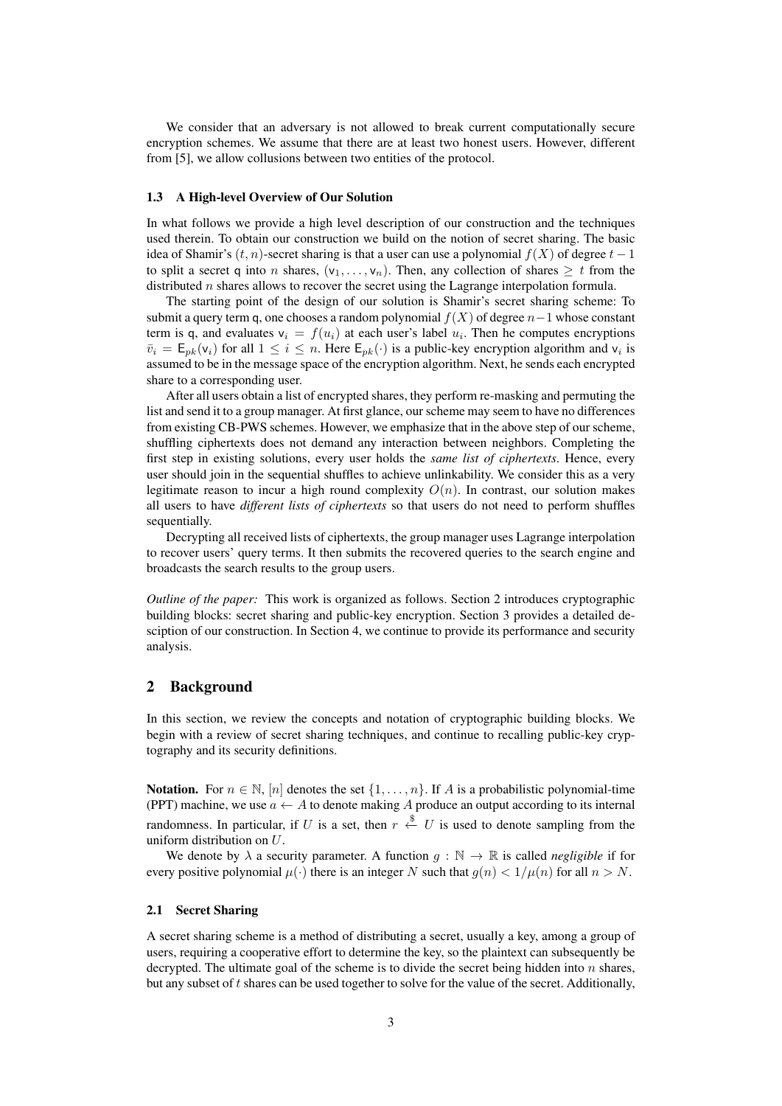We consider that an adversary is not allowed to break current computationally secure encryption schemes. We assume that there are at least two honest users. However, different from [5], we allow collusions between two entities of the protocol.

#### 1.3 A High-level Overview of Our Solution

In what follows we provide a high level description of our construction and the techniques used therein. To obtain our construction we build on the notion of secret sharing. The basic idea of Shamir's  $(t, n)$ -secret sharing is that a user can use a polynomial  $f(X)$  of degree  $t - 1$ to split a secret q into n shares,  $(v_1, \ldots, v_n)$ . Then, any collection of shares  $\geq t$  from the distributed  $n$  shares allows to recover the secret using the Lagrange interpolation formula.

The starting point of the design of our solution is Shamir's secret sharing scheme: To submit a query term q, one chooses a random polynomial  $f(X)$  of degree  $n-1$  whose constant term is q, and evaluates  $v_i = f(u_i)$  at each user's label  $u_i$ . Then he computes encryptions  $\bar{v}_i = \mathsf{E}_{pk}(v_i)$  for all  $1 \leq i \leq n$ . Here  $\mathsf{E}_{pk}(\cdot)$  is a public-key encryption algorithm and  $v_i$  is assumed to be in the message space of the encryption algorithm. Next, he sends each encrypted share to a corresponding user.

After all users obtain a list of encrypted shares, they perform re-masking and permuting the list and send it to a group manager. At first glance, our scheme may seem to have no differences from existing CB-PWS schemes. However, we emphasize that in the above step of our scheme, shuffling ciphertexts does not demand any interaction between neighbors. Completing the first step in existing solutions, every user holds the *same list of ciphertexts*. Hence, every user should join in the sequential shuffles to achieve unlinkability. We consider this as a very legitimate reason to incur a high round complexity  $O(n)$ . In contrast, our solution makes all users to have *different lists of ciphertexts* so that users do not need to perform shuffles sequentially.

Decrypting all received lists of ciphertexts, the group manager uses Lagrange interpolation to recover users' query terms. It then submits the recovered queries to the search engine and broadcasts the search results to the group users.

*Outline of the paper:* This work is organized as follows. Section 2 introduces cryptographic building blocks: secret sharing and public-key encryption. Section 3 provides a detailed desciption of our construction. In Section 4, we continue to provide its performance and security analysis.

## 2 Background

In this section, we review the concepts and notation of cryptographic building blocks. We begin with a review of secret sharing techniques, and continue to recalling public-key cryptography and its security definitions.

Notation. For  $n \in \mathbb{N}$ ,  $[n]$  denotes the set  $\{1, \ldots, n\}$ . If A is a probabilistic polynomial-time (PPT) machine, we use  $a \leftarrow A$  to denote making A produce an output according to its internal randomness. In particular, if U is a set, then  $r \stackrel{\$}{\leftarrow} U$  is used to denote sampling from the uniform distribution on U.

We denote by  $\lambda$  a security parameter. A function  $g : \mathbb{N} \to \mathbb{R}$  is called *negligible* if for every positive polynomial  $\mu(\cdot)$  there is an integer N such that  $g(n) < 1/\mu(n)$  for all  $n > N$ .

#### 2.1 Secret Sharing

A secret sharing scheme is a method of distributing a secret, usually a key, among a group of users, requiring a cooperative effort to determine the key, so the plaintext can subsequently be decrypted. The ultimate goal of the scheme is to divide the secret being hidden into  $n$  shares, but any subset of t shares can be used together to solve for the value of the secret. Additionally,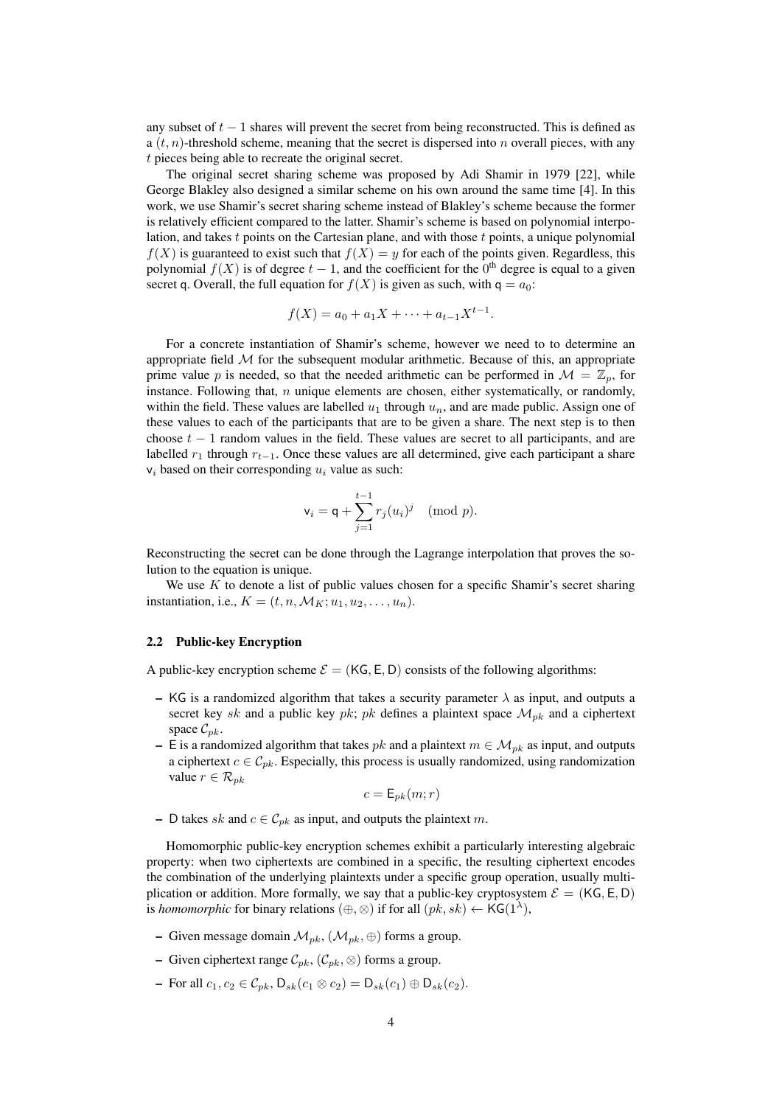any subset of  $t - 1$  shares will prevent the secret from being reconstructed. This is defined as a  $(t, n)$ -threshold scheme, meaning that the secret is dispersed into n overall pieces, with any t pieces being able to recreate the original secret.

The original secret sharing scheme was proposed by Adi Shamir in 1979 [22], while George Blakley also designed a similar scheme on his own around the same time [4]. In this work, we use Shamir's secret sharing scheme instead of Blakley's scheme because the former is relatively efficient compared to the latter. Shamir's scheme is based on polynomial interpolation, and takes  $t$  points on the Cartesian plane, and with those  $t$  points, a unique polynomial  $f(X)$  is guaranteed to exist such that  $f(X) = y$  for each of the points given. Regardless, this polynomial  $f(X)$  is of degree  $t-1$ , and the coefficient for the  $0<sup>th</sup>$  degree is equal to a given secret q. Overall, the full equation for  $f(X)$  is given as such, with  $q = a_0$ :

$$
f(X) = a_0 + a_1 X + \dots + a_{t-1} X^{t-1}.
$$

For a concrete instantiation of Shamir's scheme, however we need to to determine an appropriate field  $M$  for the subsequent modular arithmetic. Because of this, an appropriate prime value p is needed, so that the needed arithmetic can be performed in  $\mathcal{M} = \mathbb{Z}_n$ , for instance. Following that,  $n$  unique elements are chosen, either systematically, or randomly, within the field. These values are labelled  $u_1$  through  $u_n$ , and are made public. Assign one of these values to each of the participants that are to be given a share. The next step is to then choose  $t - 1$  random values in the field. These values are secret to all participants, and are labelled  $r_1$  through  $r_{t-1}$ . Once these values are all determined, give each participant a share  $v_i$  based on their corresponding  $u_i$  value as such:

$$
\mathsf{v}_i = \mathsf{q} + \sum_{j=1}^{t-1} r_j(u_i)^j \pmod{p}.
$$

Reconstructing the secret can be done through the Lagrange interpolation that proves the solution to the equation is unique.

We use  $K$  to denote a list of public values chosen for a specific Shamir's secret sharing instantiation, i.e.,  $K = (t, n, \mathcal{M}_K; u_1, u_2, \dots, u_n).$ 

## 2.2 Public-key Encryption

A public-key encryption scheme  $\mathcal{E} = (K\mathsf{G}, \mathsf{E}, \mathsf{D})$  consists of the following algorithms:

- KG is a randomized algorithm that takes a security parameter  $\lambda$  as input, and outputs a secret key sk and a public key pk; pk defines a plaintext space  $\mathcal{M}_{pk}$  and a ciphertext space  $\mathcal{C}_{pk}$ .
- E is a randomized algorithm that takes pk and a plaintext  $m \in \mathcal{M}_{pk}$  as input, and outputs a ciphertext  $c \in \mathcal{C}_{pk}$ . Especially, this process is usually randomized, using randomization value  $r \in \mathcal{R}_{pk}$

$$
c = \mathsf{E}_{pk}(m;r)
$$

– D takes sk and  $c \in \mathcal{C}_{pk}$  as input, and outputs the plaintext m.

Homomorphic public-key encryption schemes exhibit a particularly interesting algebraic property: when two ciphertexts are combined in a specific, the resulting ciphertext encodes the combination of the underlying plaintexts under a specific group operation, usually multiplication or addition. More formally, we say that a public-key cryptosystem  $\mathcal{E} = (KG, E, D)$ is *homomorphic* for binary relations  $(\oplus, \otimes)$  if for all  $(pk, sk) \leftarrow {\sf KG}(1^{\lambda}),$ 

- Given message domain  $\mathcal{M}_{pk}$ ,  $(\mathcal{M}_{pk}, \oplus)$  forms a group.
- Given ciphertext range  $C_{pk}$ ,  $(C_{pk}, \otimes)$  forms a group.
- For all  $c_1, c_2 \in C_{nk}$ , D<sub>sk</sub> $(c_1 \otimes c_2) = D_{sk}(c_1) \oplus D_{sk}(c_2)$ .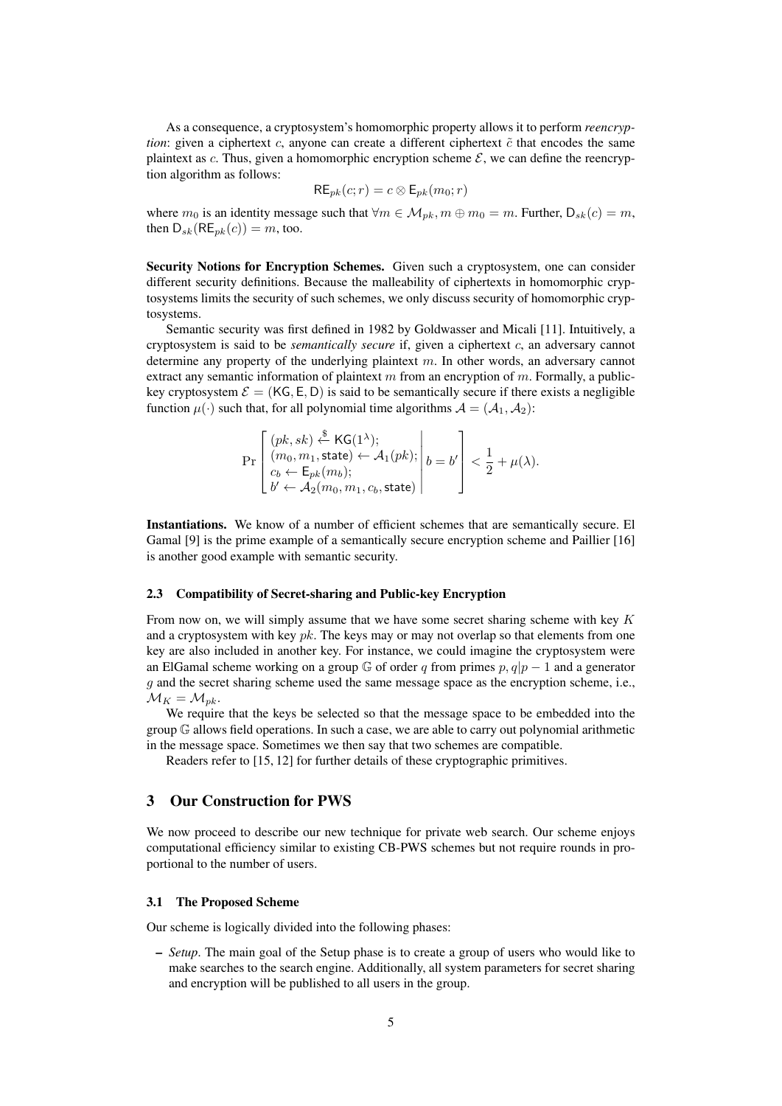As a consequence, a cryptosystem's homomorphic property allows it to perform *reencryption*: given a ciphertext  $c$ , anyone can create a different ciphertext  $\tilde{c}$  that encodes the same plaintext as c. Thus, given a homomorphic encryption scheme  $\mathcal{E}$ , we can define the reencryption algorithm as follows:

$$
\mathsf{RE}_{pk}(c; r) = c \otimes \mathsf{E}_{pk}(m_0; r)
$$

where  $m_0$  is an identity message such that  $\forall m \in \mathcal{M}_{nk}, m \oplus m_0 = m$ . Further,  $D_{sk}(c) = m$ , then  $D_{sk}(RE_{nk}(c)) = m$ , too.

Security Notions for Encryption Schemes. Given such a cryptosystem, one can consider different security definitions. Because the malleability of ciphertexts in homomorphic cryptosystems limits the security of such schemes, we only discuss security of homomorphic cryptosystems.

Semantic security was first defined in 1982 by Goldwasser and Micali [11]. Intuitively, a cryptosystem is said to be *semantically secure* if, given a ciphertext c, an adversary cannot determine any property of the underlying plaintext  $m$ . In other words, an adversary cannot extract any semantic information of plaintext  $m$  from an encryption of  $m$ . Formally, a publickey cryptosystem  $\mathcal{E} = (KG, E, D)$  is said to be semantically secure if there exists a negligible function  $\mu(\cdot)$  such that, for all polynomial time algorithms  $\mathcal{A} = (\mathcal{A}_1, \mathcal{A}_2)$ :

$$
\Pr\left[\begin{array}{l} (pk, sk) \xleftarrow{\$} \mathsf{KG}(1^{\lambda}); \\ (m_0, m_1, \mathsf{state}) \leftarrow \mathcal{A}_1(pk); \\ c_b \leftarrow \mathsf{E}_{pk}(m_b); \\ b' \leftarrow \mathcal{A}_2(m_0, m_1, c_b, \mathsf{state}) \end{array}\middle| b = b' \right\} < \frac{1}{2} + \mu(\lambda).
$$

Instantiations. We know of a number of efficient schemes that are semantically secure. El Gamal [9] is the prime example of a semantically secure encryption scheme and Paillier [16] is another good example with semantic security.

## 2.3 Compatibility of Secret-sharing and Public-key Encryption

From now on, we will simply assume that we have some secret sharing scheme with key  $K$ and a cryptosystem with key  $pk$ . The keys may or may not overlap so that elements from one key are also included in another key. For instance, we could imagine the cryptosystem were an ElGamal scheme working on a group  $\mathbb G$  of order q from primes p,  $q|p-1$  and a generator  $g$  and the secret sharing scheme used the same message space as the encryption scheme, i.e.,  $\mathcal{M}_K = \mathcal{M}_{pk}.$ 

We require that the keys be selected so that the message space to be embedded into the group G allows field operations. In such a case, we are able to carry out polynomial arithmetic in the message space. Sometimes we then say that two schemes are compatible.

Readers refer to [15, 12] for further details of these cryptographic primitives.

## 3 Our Construction for PWS

We now proceed to describe our new technique for private web search. Our scheme enjoys computational efficiency similar to existing CB-PWS schemes but not require rounds in proportional to the number of users.

#### 3.1 The Proposed Scheme

Our scheme is logically divided into the following phases:

– *Setup*. The main goal of the Setup phase is to create a group of users who would like to make searches to the search engine. Additionally, all system parameters for secret sharing and encryption will be published to all users in the group.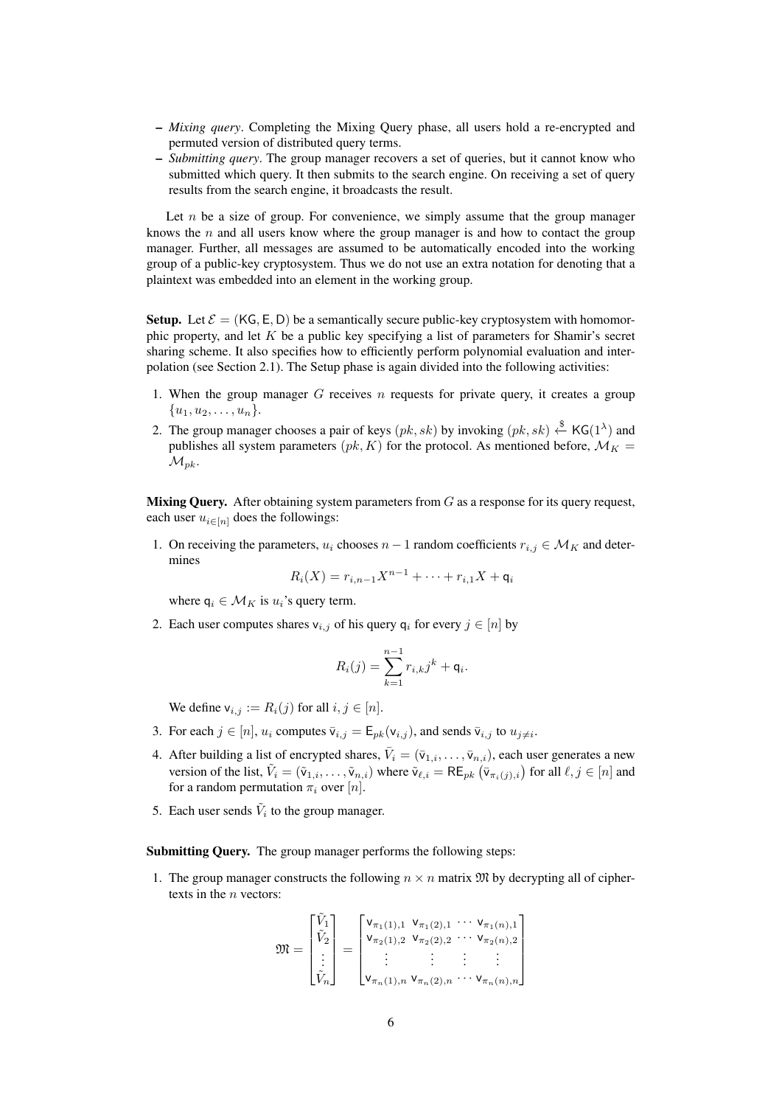- *Mixing query*. Completing the Mixing Query phase, all users hold a re-encrypted and permuted version of distributed query terms.
- *Submitting query*. The group manager recovers a set of queries, but it cannot know who submitted which query. It then submits to the search engine. On receiving a set of query results from the search engine, it broadcasts the result.

Let  $n$  be a size of group. For convenience, we simply assume that the group manager knows the  $n$  and all users know where the group manager is and how to contact the group manager. Further, all messages are assumed to be automatically encoded into the working group of a public-key cryptosystem. Thus we do not use an extra notation for denoting that a plaintext was embedded into an element in the working group.

**Setup.** Let  $\mathcal{E} = (KG, E, D)$  be a semantically secure public-key cryptosystem with homomorphic property, and let  $K$  be a public key specifying a list of parameters for Shamir's secret sharing scheme. It also specifies how to efficiently perform polynomial evaluation and interpolation (see Section 2.1). The Setup phase is again divided into the following activities:

- 1. When the group manager  $G$  receives  $n$  requests for private query, it creates a group  $\{u_1, u_2, \ldots, u_n\}.$
- 2. The group manager chooses a pair of keys  $(pk, sk)$  by invoking  $(pk, sk) \overset{\$}{\leftarrow} KG(1^{\lambda})$  and publishes all system parameters ( $pk, K$ ) for the protocol. As mentioned before,  $\mathcal{M}_K =$  $\mathcal{M}_{pk}$ .

**Mixing Query.** After obtaining system parameters from  $G$  as a response for its query request, each user  $u_{i \in [n]}$  does the followings:

1. On receiving the parameters,  $u_i$  chooses  $n-1$  random coefficients  $r_{i,j} \in M_K$  and determines

$$
R_i(X) = r_{i,n-1}X^{n-1} + \cdots + r_{i,1}X + \mathsf{q}_i
$$

where  $q_i \in \mathcal{M}_K$  is  $u_i$ 's query term.

2. Each user computes shares  $v_{i,j}$  of his query  $q_i$  for every  $j \in [n]$  by

$$
R_i(j) = \sum_{k=1}^{n-1} r_{i,k} j^k + \mathsf{q}_i.
$$

We define  $v_{i,j} := R_i(j)$  for all  $i, j \in [n]$ .

- 3. For each  $j \in [n]$ ,  $u_i$  computes  $\overline{v}_{i,j} = \mathsf{E}_{pk}(v_{i,j})$ , and sends  $\overline{v}_{i,j}$  to  $u_{j\neq i}$ .
- 4. After building a list of encrypted shares,  $\bar{V}_i = (\bar{v}_{1,i}, \dots, \bar{v}_{n,i})$ , each user generates a new version of the list,  $\tilde{V}_i = (\tilde{v}_{1,i}, \dots, \tilde{v}_{n,i})$  where  $\tilde{v}_{\ell,i} = \mathsf{RE}_{pk} (\bar{v}_{\pi_i(j),i})$  for all  $\ell, j \in [n]$  and for a random permutation  $\pi_i$  over  $[n]$ .
- 5. Each user sends  $\tilde{V}_i$  to the group manager.

Submitting Query. The group manager performs the following steps:

1. The group manager constructs the following  $n \times n$  matrix  $\mathfrak{M}$  by decrypting all of ciphertexts in the *n* vectors:

$$
\mathfrak{M} = \begin{bmatrix} \tilde{V}_1 \\ \tilde{V}_2 \\ \vdots \\ \tilde{V}_n \end{bmatrix} = \begin{bmatrix} \mathsf{v}_{\pi_1(1),1} & \mathsf{v}_{\pi_1(2),1} & \cdots & \mathsf{v}_{\pi_1(n),1} \\ \mathsf{v}_{\pi_2(1),2} & \mathsf{v}_{\pi_2(2),2} & \cdots & \mathsf{v}_{\pi_2(n),2} \\ \vdots & \vdots & \vdots & \vdots \\ \mathsf{v}_{\pi_n(1),n} & \mathsf{v}_{\pi_n(2),n} & \cdots & \mathsf{v}_{\pi_n(n),n} \end{bmatrix}
$$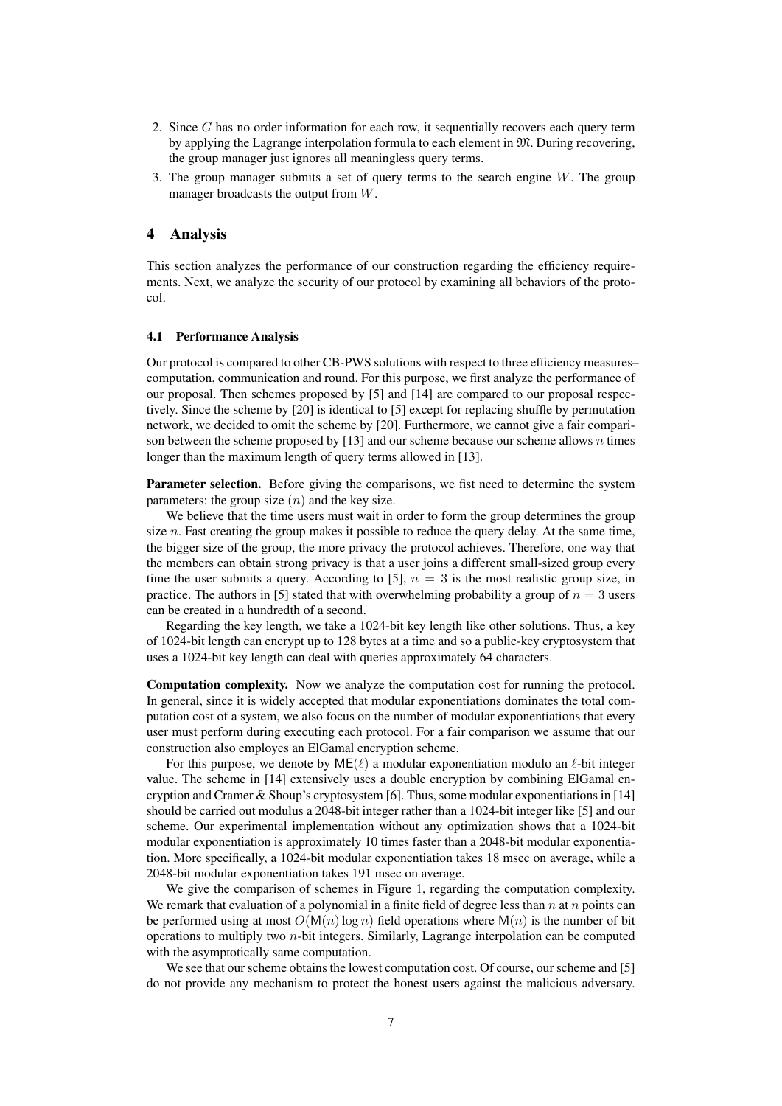- 2. Since G has no order information for each row, it sequentially recovers each query term by applying the Lagrange interpolation formula to each element in M. During recovering, the group manager just ignores all meaningless query terms.
- 3. The group manager submits a set of query terms to the search engine  $W$ . The group manager broadcasts the output from W.

#### 4 Analysis

This section analyzes the performance of our construction regarding the efficiency requirements. Next, we analyze the security of our protocol by examining all behaviors of the protocol.

#### 4.1 Performance Analysis

Our protocol is compared to other CB-PWS solutions with respect to three efficiency measures– computation, communication and round. For this purpose, we first analyze the performance of our proposal. Then schemes proposed by [5] and [14] are compared to our proposal respectively. Since the scheme by [20] is identical to [5] except for replacing shuffle by permutation network, we decided to omit the scheme by [20]. Furthermore, we cannot give a fair comparison between the scheme proposed by  $[13]$  and our scheme because our scheme allows n times longer than the maximum length of query terms allowed in [13].

Parameter selection. Before giving the comparisons, we fist need to determine the system parameters: the group size  $(n)$  and the key size.

We believe that the time users must wait in order to form the group determines the group size  $n$ . Fast creating the group makes it possible to reduce the query delay. At the same time, the bigger size of the group, the more privacy the protocol achieves. Therefore, one way that the members can obtain strong privacy is that a user joins a different small-sized group every time the user submits a query. According to [5],  $n = 3$  is the most realistic group size, in practice. The authors in [5] stated that with overwhelming probability a group of  $n = 3$  users can be created in a hundredth of a second.

Regarding the key length, we take a 1024-bit key length like other solutions. Thus, a key of 1024-bit length can encrypt up to 128 bytes at a time and so a public-key cryptosystem that uses a 1024-bit key length can deal with queries approximately 64 characters.

Computation complexity. Now we analyze the computation cost for running the protocol. In general, since it is widely accepted that modular exponentiations dominates the total computation cost of a system, we also focus on the number of modular exponentiations that every user must perform during executing each protocol. For a fair comparison we assume that our construction also employes an ElGamal encryption scheme.

For this purpose, we denote by  $ME(\ell)$  a modular exponentiation modulo an  $\ell$ -bit integer value. The scheme in [14] extensively uses a double encryption by combining ElGamal encryption and Cramer & Shoup's cryptosystem [6]. Thus, some modular exponentiations in [14] should be carried out modulus a 2048-bit integer rather than a 1024-bit integer like [5] and our scheme. Our experimental implementation without any optimization shows that a 1024-bit modular exponentiation is approximately 10 times faster than a 2048-bit modular exponentiation. More specifically, a 1024-bit modular exponentiation takes 18 msec on average, while a 2048-bit modular exponentiation takes 191 msec on average.

We give the comparison of schemes in Figure 1, regarding the computation complexity. We remark that evaluation of a polynomial in a finite field of degree less than  $n$  at  $n$  points can be performed using at most  $O(M(n) \log n)$  field operations where  $M(n)$  is the number of bit operations to multiply two  $n$ -bit integers. Similarly, Lagrange interpolation can be computed with the asymptotically same computation.

We see that our scheme obtains the lowest computation cost. Of course, our scheme and [5] do not provide any mechanism to protect the honest users against the malicious adversary.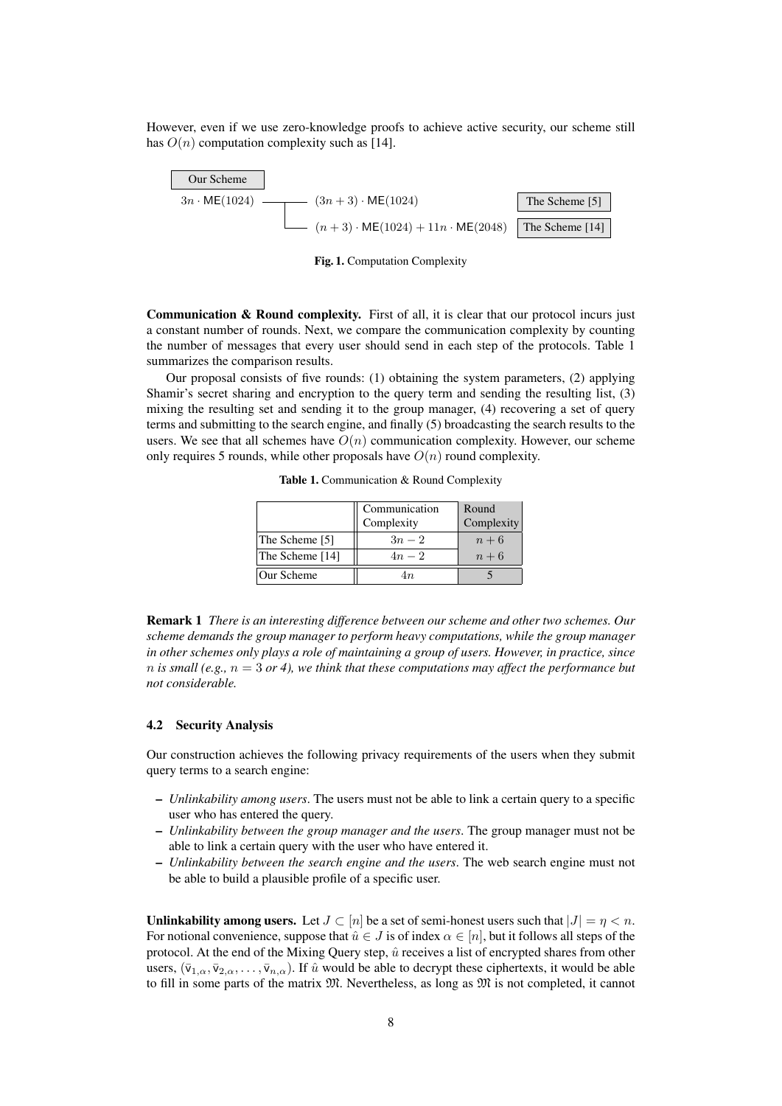However, even if we use zero-knowledge proofs to achieve active security, our scheme still has  $O(n)$  computation complexity such as [14].



Fig. 1. Computation Complexity

Communication & Round complexity. First of all, it is clear that our protocol incurs just a constant number of rounds. Next, we compare the communication complexity by counting the number of messages that every user should send in each step of the protocols. Table 1 summarizes the comparison results.

Our proposal consists of five rounds: (1) obtaining the system parameters, (2) applying Shamir's secret sharing and encryption to the query term and sending the resulting list, (3) mixing the resulting set and sending it to the group manager, (4) recovering a set of query terms and submitting to the search engine, and finally (5) broadcasting the search results to the users. We see that all schemes have  $O(n)$  communication complexity. However, our scheme only requires 5 rounds, while other proposals have  $O(n)$  round complexity.

Table 1. Communication & Round Complexity

|                 | Communication | Round      |
|-----------------|---------------|------------|
|                 | Complexity    | Complexity |
| The Scheme [5]  | $3n-2$        | $n+6$      |
| The Scheme [14] | $4n-2$        | $n+6$      |
| Our Scheme      | 4n            |            |

Remark 1 *There is an interesting difference between our scheme and other two schemes. Our scheme demands the group manager to perform heavy computations, while the group manager in other schemes only plays a role of maintaining a group of users. However, in practice, since n* is small (e.g.,  $n = 3$  or 4), we think that these computations may affect the performance but *not considerable.*

#### 4.2 Security Analysis

Our construction achieves the following privacy requirements of the users when they submit query terms to a search engine:

- *Unlinkability among users*. The users must not be able to link a certain query to a specific user who has entered the query.
- *Unlinkability between the group manager and the users*. The group manager must not be able to link a certain query with the user who have entered it.
- *Unlinkability between the search engine and the users*. The web search engine must not be able to build a plausible profile of a specific user.

Unlinkability among users. Let  $J \subset [n]$  be a set of semi-honest users such that  $|J| = \eta < n$ . For notional convenience, suppose that  $\hat{u} \in J$  is of index  $\alpha \in [n]$ , but it follows all steps of the protocol. At the end of the Mixing Query step,  $\hat{u}$  receives a list of encrypted shares from other users,  $(\bar{v}_{1,\alpha}, \bar{v}_{2,\alpha}, \ldots, \bar{v}_{n,\alpha})$ . If  $\hat{u}$  would be able to decrypt these ciphertexts, it would be able to fill in some parts of the matrix  $M$ . Nevertheless, as long as  $M$  is not completed, it cannot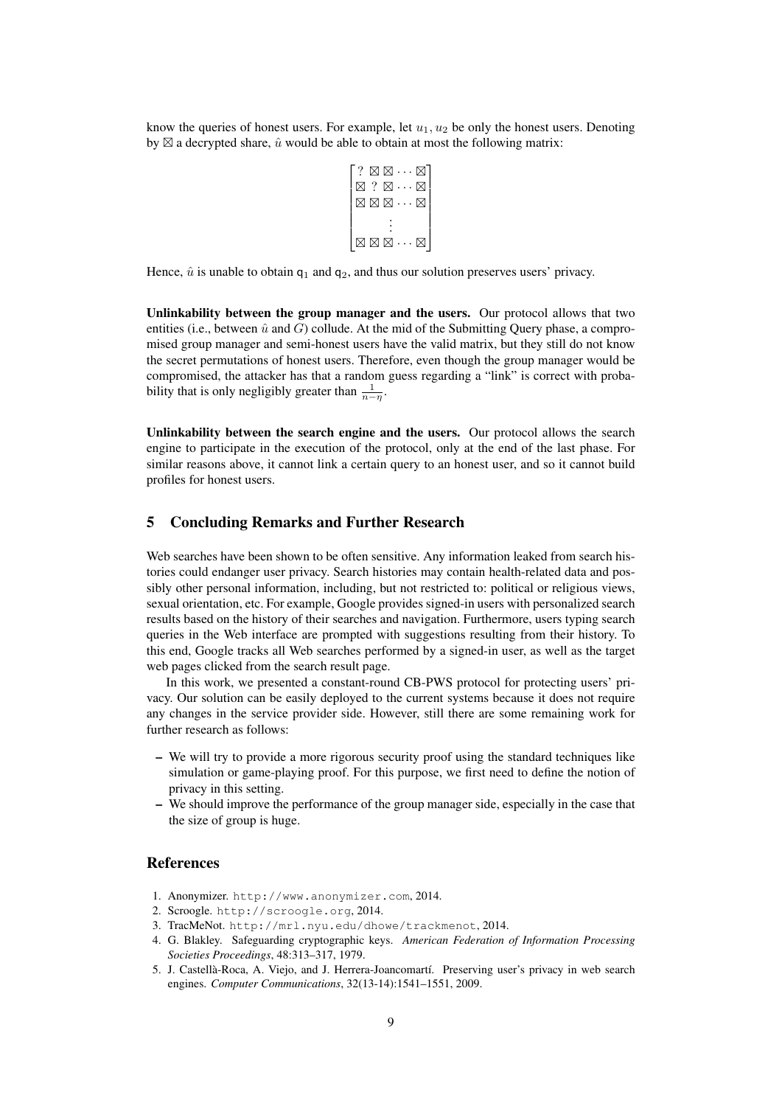know the queries of honest users. For example, let  $u_1, u_2$  be only the honest users. Denoting by  $\boxtimes$  a decrypted share,  $\hat{u}$  would be able to obtain at most the following matrix:

$$
\begin{bmatrix} ? & \boxtimes \boxtimes \cdots \boxtimes \\ \boxtimes ? & \boxtimes \cdots \boxtimes \\ \boxtimes \boxtimes \boxtimes \cdots \boxtimes \\ & \vdots \\ \boxtimes \boxtimes \boxtimes \cdots \boxtimes \end{bmatrix}
$$

Hence,  $\hat{u}$  is unable to obtain  $q_1$  and  $q_2$ , and thus our solution preserves users' privacy.

Unlinkability between the group manager and the users. Our protocol allows that two entities (i.e., between  $\hat{u}$  and G) collude. At the mid of the Submitting Query phase, a compromised group manager and semi-honest users have the valid matrix, but they still do not know the secret permutations of honest users. Therefore, even though the group manager would be compromised, the attacker has that a random guess regarding a "link" is correct with probability that is only negligibly greater than  $\frac{1}{n-\eta}$ .

Unlinkability between the search engine and the users. Our protocol allows the search engine to participate in the execution of the protocol, only at the end of the last phase. For similar reasons above, it cannot link a certain query to an honest user, and so it cannot build profiles for honest users.

## 5 Concluding Remarks and Further Research

Web searches have been shown to be often sensitive. Any information leaked from search histories could endanger user privacy. Search histories may contain health-related data and possibly other personal information, including, but not restricted to: political or religious views, sexual orientation, etc. For example, Google provides signed-in users with personalized search results based on the history of their searches and navigation. Furthermore, users typing search queries in the Web interface are prompted with suggestions resulting from their history. To this end, Google tracks all Web searches performed by a signed-in user, as well as the target web pages clicked from the search result page.

In this work, we presented a constant-round CB-PWS protocol for protecting users' privacy. Our solution can be easily deployed to the current systems because it does not require any changes in the service provider side. However, still there are some remaining work for further research as follows:

- We will try to provide a more rigorous security proof using the standard techniques like simulation or game-playing proof. For this purpose, we first need to define the notion of privacy in this setting.
- We should improve the performance of the group manager side, especially in the case that the size of group is huge.

## References

- 1. Anonymizer. http://www.anonymizer.com, 2014.
- 2. Scroogle. http://scroogle.org, 2014.
- 3. TracMeNot. http://mrl.nyu.edu/dhowe/trackmenot, 2014.
- 4. G. Blakley. Safeguarding cryptographic keys. *American Federation of Information Processing Societies Proceedings*, 48:313–317, 1979.
- 5. J. Castellà-Roca, A. Viejo, and J. Herrera-Joancomartí. Preserving user's privacy in web search engines. *Computer Communications*, 32(13-14):1541–1551, 2009.